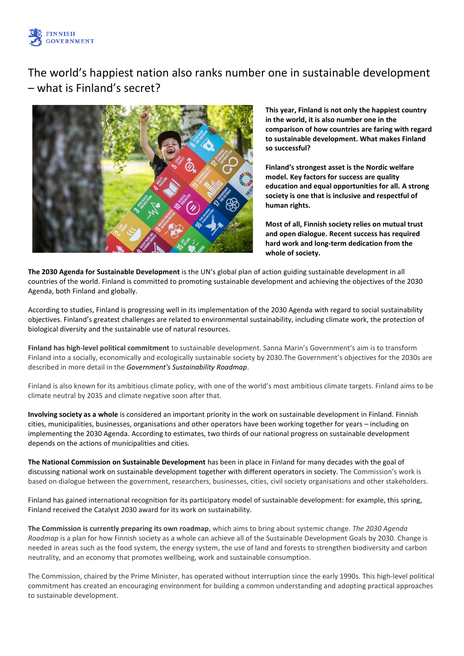

# The world's happiest nation also ranks number one in sustainable development – what is Finland's secret?



**This year, Finland is not only the happiest country in the world, it is also number one in the comparison of how countries are faring with regard to sustainable development. What makes Finland so successful?**

**Finland's strongest asset is the Nordic welfare model. Key factors for success are quality education and equal opportunities for all. A strong society is one that is inclusive and respectful of human rights.**

**Most of all, Finnish society relies on mutual trust and open dialogue. Recent success has required hard work and long-term dedication from the whole of society.**

**The 2030 Agenda for Sustainable Development** is the UN's global plan of action guiding sustainable development in all countries of the world. Finland is committed to promoting sustainable development and achieving the objectives of the 2030 Agenda, both Finland and globally.

According to studies, Finland is progressing well in its implementation of the 2030 Agenda with regard to social sustainability objectives. Finland's greatest challenges are related to environmental sustainability, including climate work, the protection of biological diversity and the sustainable use of natural resources.

**Finland has high-level political commitment** to sustainable development. Sanna Marin's Government's aim is to transform Finland into a socially, economically and ecologically sustainable society by 2030.The Government's objectives for the 2030s are described in more detail in the *Government's Sustainability Roadmap*.

Finland is also known for its ambitious climate policy, with one of the world's most ambitious climate targets. Finland aims to be climate neutral by 2035 and climate negative soon after that.

**Involving society as a whole** is considered an important priority in the work on sustainable development in Finland. Finnish cities, municipalities, businesses, organisations and other operators have been working together for years – including on implementing the 2030 Agenda. According to estimates, two thirds of our national progress on sustainable development depends on the actions of municipalities and cities.

**The National Commission on Sustainable Development** has been in place in Finland for many decades with the goal of discussing national work on sustainable development together with different operators in society. The Commission's work is based on dialogue between the government, researchers, businesses, cities, civil society organisations and other stakeholders.

Finland has gained international recognition for its participatory model of sustainable development: for example, this spring, Finland received the Catalyst 2030 award for its work on sustainability.

**The Commission is currently preparing its own roadmap**, which aims to bring about systemic change. *The 2030 Agenda Roadmap* is a plan for how Finnish society as a whole can achieve all of the Sustainable Development Goals by 2030. Change is needed in areas such as the food system, the energy system, the use of land and forests to strengthen biodiversity and carbon neutrality, and an economy that promotes wellbeing, work and sustainable consumption.

The Commission, chaired by the Prime Minister, has operated without interruption since the early 1990s. This high-level political commitment has created an encouraging environment for building a common understanding and adopting practical approaches to sustainable development.